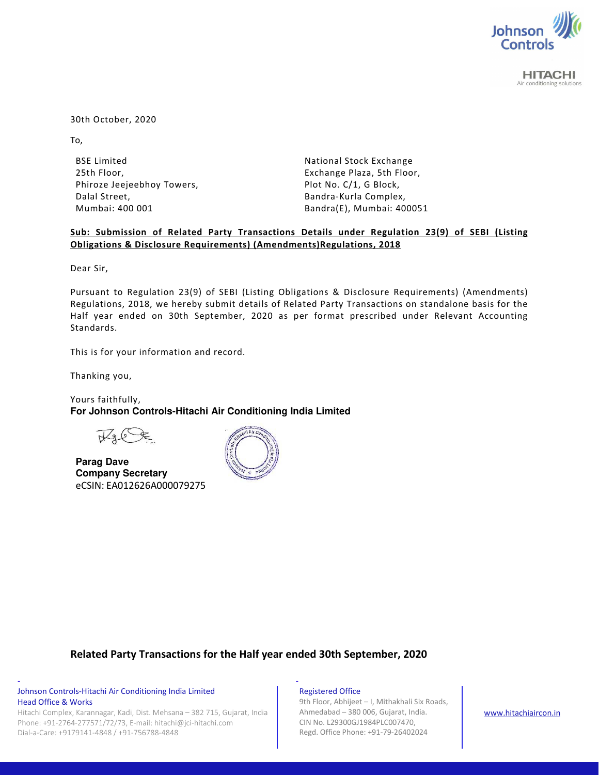

**HITACHI** Air conditioning solutions

30th October, 2020

To,

BSE Limited 25th Floor, Phiroze Jeejeebhoy Towers, Dalal Street, Mumbai: 400 001

National Stock Exchange Exchange Plaza, 5th Floor, Plot No. C/1, G Block, Bandra-Kurla Complex, Bandra(E), Mumbai: 400051

## **Sub: Submission of Related Party Transactions Details under Regulation 23(9) of SEBI (Listing Obligations & Disclosure Requirements) (Amendments)Regulations, 2018**

Dear Sir,

Pursuant to Regulation 23(9) of SEBI (Listing Obligations & Disclosure Requirements) (Amendments) Regulations, 2018, we hereby submit details of Related Party Transactions on standalone basis for the Half year ended on 30th September, 2020 as per format prescribed under Relevant Accounting Standards.

This is for your information and record.

Thanking you,

Yours faithfully, **For Johnson Controls-Hitachi Air Conditioning India Limited** 

**Parag Dave Company Secretary**  eCSIN: EA012626A000079275



# **Related Party Transactions for the Half year ended 30th September, 2020**

### Johnson Controls-Hitachi Air Conditioning India Limited Head Office & Works

Hitachi Complex, Karannagar, Kadi, Dist. Mehsana – 382 715, Gujarat, India Phone: +91-2764-277571/72/73, E-mail: hitachi@jci-hitachi.com Dial-a-Care: +9179141-4848 / +91-756788-4848

**- -** 

### Registered Office

9th Floor, Abhijeet – I, Mithakhali Six Roads, Ahmedabad – 380 006, Gujarat, India. CIN No. L29300GJ1984PLC007470, Regd. Office Phone: +91-79-26402024

www.hitachiaircon.in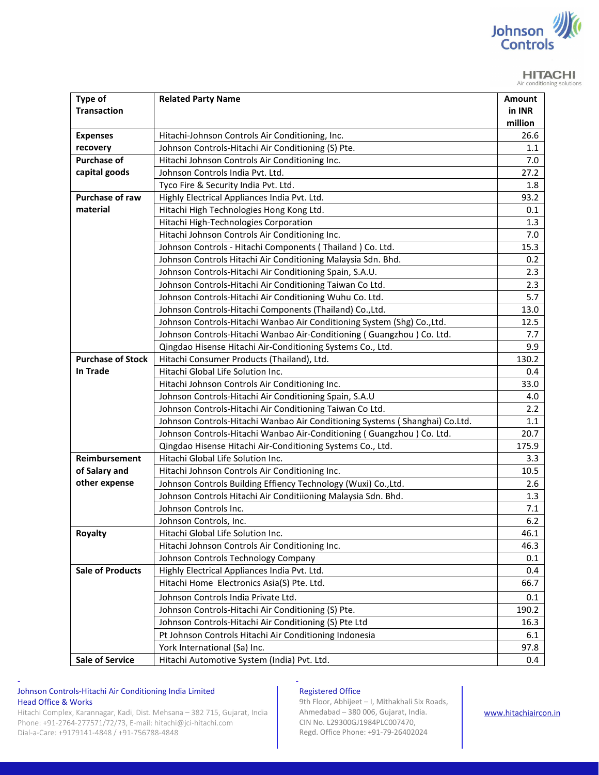

#### **HITACHI** Air conditioning solutions

| Type of                  | <b>Related Party Name</b>                                                   | Amount  |
|--------------------------|-----------------------------------------------------------------------------|---------|
| <b>Transaction</b>       |                                                                             | in INR  |
|                          |                                                                             | million |
| <b>Expenses</b>          | Hitachi-Johnson Controls Air Conditioning, Inc.                             | 26.6    |
| recovery                 | Johnson Controls-Hitachi Air Conditioning (S) Pte.                          | 1.1     |
| <b>Purchase of</b>       | Hitachi Johnson Controls Air Conditioning Inc.                              | 7.0     |
| capital goods            | Johnson Controls India Pvt. Ltd.                                            | 27.2    |
|                          | Tyco Fire & Security India Pvt. Ltd.                                        | 1.8     |
| Purchase of raw          | Highly Electrical Appliances India Pvt. Ltd.                                | 93.2    |
| material                 | Hitachi High Technologies Hong Kong Ltd.                                    | 0.1     |
|                          | Hitachi High-Technologies Corporation                                       | 1.3     |
|                          | Hitachi Johnson Controls Air Conditioning Inc.                              | 7.0     |
|                          | Johnson Controls - Hitachi Components (Thailand) Co. Ltd.                   | 15.3    |
|                          | Johnson Controls Hitachi Air Conditioning Malaysia Sdn. Bhd.                | 0.2     |
|                          | Johnson Controls-Hitachi Air Conditioning Spain, S.A.U.                     | 2.3     |
|                          | Johnson Controls-Hitachi Air Conditioning Taiwan Co Ltd.                    | 2.3     |
|                          | Johnson Controls-Hitachi Air Conditioning Wuhu Co. Ltd.                     | 5.7     |
|                          | Johnson Controls-Hitachi Components (Thailand) Co., Ltd.                    | 13.0    |
|                          | Johnson Controls-Hitachi Wanbao Air Conditioning System (Shg) Co., Ltd.     | 12.5    |
|                          | Johnson Controls-Hitachi Wanbao Air-Conditioning (Guangzhou) Co. Ltd.       | 7.7     |
|                          | Qingdao Hisense Hitachi Air-Conditioning Systems Co., Ltd.                  | 9.9     |
| <b>Purchase of Stock</b> | Hitachi Consumer Products (Thailand), Ltd.                                  | 130.2   |
| In Trade                 | Hitachi Global Life Solution Inc.                                           | 0.4     |
|                          | Hitachi Johnson Controls Air Conditioning Inc.                              | 33.0    |
|                          | Johnson Controls-Hitachi Air Conditioning Spain, S.A.U                      | 4.0     |
|                          | Johnson Controls-Hitachi Air Conditioning Taiwan Co Ltd.                    | 2.2     |
|                          | Johnson Controls-Hitachi Wanbao Air Conditioning Systems (Shanghai) Co.Ltd. | 1.1     |
|                          | Johnson Controls-Hitachi Wanbao Air-Conditioning (Guangzhou) Co. Ltd.       | 20.7    |
|                          | Qingdao Hisense Hitachi Air-Conditioning Systems Co., Ltd.                  | 175.9   |
| Reimbursement            | Hitachi Global Life Solution Inc.                                           | 3.3     |
| of Salary and            | Hitachi Johnson Controls Air Conditioning Inc.                              | 10.5    |
| other expense            | Johnson Controls Building Effiency Technology (Wuxi) Co., Ltd.              | 2.6     |
|                          | Johnson Controls Hitachi Air Conditiioning Malaysia Sdn. Bhd.               | 1.3     |
|                          | Johnson Controls Inc.                                                       | 7.1     |
|                          | Johnson Controls, Inc.                                                      | $6.2$   |
| <b>Royalty</b>           | Hitachi Global Life Solution Inc.                                           | 46.1    |
|                          | Hitachi Johnson Controls Air Conditioning Inc.                              | 46.3    |
|                          | Johnson Controls Technology Company                                         | 0.1     |
| <b>Sale of Products</b>  | Highly Electrical Appliances India Pvt. Ltd.                                | 0.4     |
|                          | Hitachi Home Electronics Asia(S) Pte. Ltd.                                  | 66.7    |
|                          | Johnson Controls India Private Ltd.                                         | 0.1     |
|                          | Johnson Controls-Hitachi Air Conditioning (S) Pte.                          | 190.2   |
|                          | Johnson Controls-Hitachi Air Conditioning (S) Pte Ltd                       | 16.3    |
|                          | Pt Johnson Controls Hitachi Air Conditioning Indonesia                      | 6.1     |
|                          | York International (Sa) Inc.                                                | 97.8    |
| <b>Sale of Service</b>   | Hitachi Automotive System (India) Pvt. Ltd.                                 | 0.4     |

## Johnson Controls-Hitachi Air Conditioning India Limited Head Office & Works

Hitachi Complex, Karannagar, Kadi, Dist. Mehsana – 382 715, Gujarat, India Phone: +91-2764-277571/72/73, E-mail: hitachi@jci-hitachi.com Dial-a-Care: +9179141-4848 / +91-756788-4848

**- -** 

## Registered Office

9th Floor, Abhijeet – I, Mithakhali Six Roads, Ahmedabad – 380 006, Gujarat, India. CIN No. L29300GJ1984PLC007470, Regd. Office Phone: +91-79-26402024

www.hitachiaircon.in